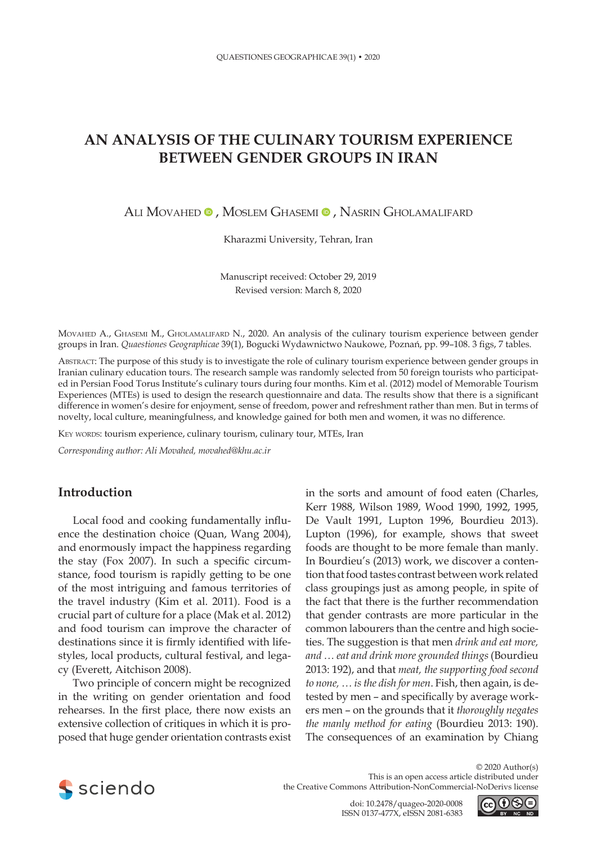# **AN ANALYSIS OF THE CULINARY TOURISM EXPERIENCE BETWEEN GENDER GROUPS IN IRAN**

ALI MOVAHED <sup>®</sup>, MOSLEM GHASEMI <sup>®</sup>, NASRIN GHOLAMALIFARD

Kharazmi University, Tehran, Iran

Manuscript received: October 29, 2019 Revised version: March 8, 2020

Movahed A., Ghasemi M., Gholamalifard N., 2020. An analysis of the culinary tourism experience between gender groups in Iran. *Quaestiones Geographicae* 39(1), Bogucki Wydawnictwo Naukowe, Poznań, pp. 99–108. 3 figs, 7 tables.

Abstract: The purpose of this study is to investigate the role of culinary tourism experience between gender groups in Iranian culinary education tours. The research sample was randomly selected from 50 foreign tourists who participated in Persian Food Torus Institute's culinary tours during four months. Kim et al. (2012) model of Memorable Tourism Experiences (MTEs) is used to design the research questionnaire and data. The results show that there is a significant difference in women's desire for enjoyment, sense of freedom, power and refreshment rather than men. But in terms of novelty, local culture, meaningfulness, and knowledge gained for both men and women, it was no difference.

KEY WORDS: tourism experience, culinary tourism, culinary tour, MTEs, Iran

*Corresponding author: Ali Movahed, [movahed@khu.ac.ir](mailto:movahed@khu.ac.ir)*

# **Introduction**

Local food and cooking fundamentally influence the destination choice (Quan, Wang 2004), and enormously impact the happiness regarding the stay (Fox 2007). In such a specific circumstance, food tourism is rapidly getting to be one of the most intriguing and famous territories of the travel industry (Kim et al. 2011). Food is a crucial part of culture for a place (Mak et al. 2012) and food tourism can improve the character of destinations since it is firmly identified with lifestyles, local products, cultural festival, and legacy (Everett, Aitchison 2008).

Two principle of concern might be recognized in the writing on gender orientation and food rehearses. In the first place, there now exists an extensive collection of critiques in which it is proposed that huge gender orientation contrasts exist in the sorts and amount of food eaten (Charles, Kerr 1988, Wilson 1989, Wood 1990, 1992, 1995, De Vault 1991, Lupton 1996, Bourdieu 2013). Lupton (1996), for example, shows that sweet foods are thought to be more female than manly. In Bourdieu's (2013) work, we discover a contention that food tastes contrast between work related class groupings just as among people, in spite of the fact that there is the further recommendation that gender contrasts are more particular in the common labourers than the centre and high societies. The suggestion is that men *drink and eat more, and … eat and drink more grounded things* (Bourdieu 2013: 192), and that *meat, the supporting food second to none, … is the dish for men*. Fish, then again, is detested by men – and specifically by average workers men – on the grounds that it *thoroughly negates the manly method for eating* (Bourdieu 2013: 190). The consequences of an examination by Chiang



© 2020 Author(s) This is an open access article distributed under the Creative Commons Attribution-NonCommercial-NoDerivs license

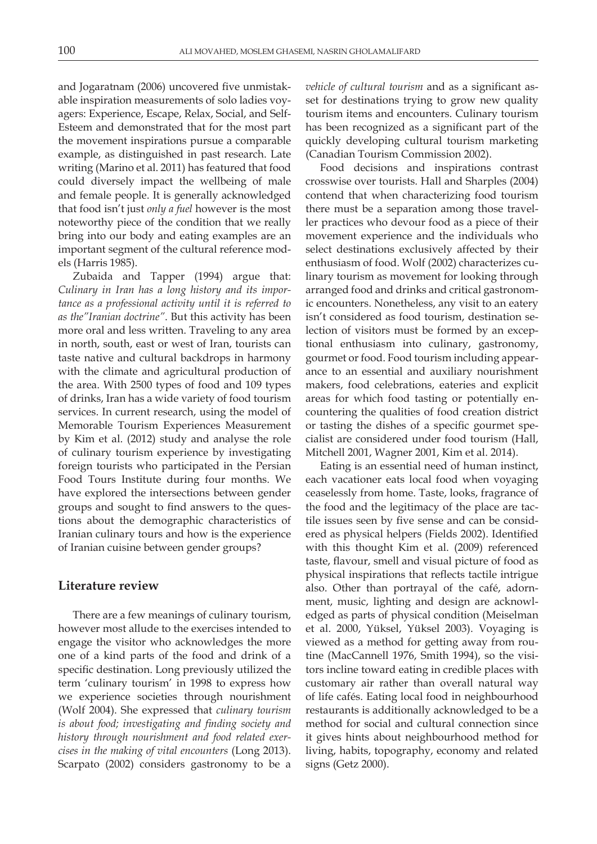and Jogaratnam (2006) uncovered five unmistakable inspiration measurements of solo ladies voyagers: Experience, Escape, Relax, Social, and Self-Esteem and demonstrated that for the most part the movement inspirations pursue a comparable example, as distinguished in past research. Late writing (Marino et al. 2011) has featured that food could diversely impact the wellbeing of male and female people. It is generally acknowledged that food isn't just *only a fuel* however is the most noteworthy piece of the condition that we really bring into our body and eating examples are an important segment of the cultural reference models (Harris 1985).

Zubaida and Tapper (1994) argue that: *Culinary in Iran has a long history and its importance as a professional activity until it is referred to as the"Iranian doctrine"*. But this activity has been more oral and less written. Traveling to any area in north, south, east or west of Iran, tourists can taste native and cultural backdrops in harmony with the climate and agricultural production of the area. With 2500 types of food and 109 types of drinks, Iran has a wide variety of food tourism services. In current research, using the model of Memorable Tourism Experiences Measurement by Kim et al. (2012) study and analyse the role of culinary tourism experience by investigating foreign tourists who participated in the Persian Food Tours Institute during four months. We have explored the intersections between gender groups and sought to find answers to the questions about the demographic characteristics of Iranian culinary tours and how is the experience of Iranian cuisine between gender groups?

#### **Literature review**

There are a few meanings of culinary tourism, however most allude to the exercises intended to engage the visitor who acknowledges the more one of a kind parts of the food and drink of a specific destination. Long previously utilized the term 'culinary tourism' in 1998 to express how we experience societies through nourishment (Wolf 2004). She expressed that *culinary tourism is about food; investigating and finding society and history through nourishment and food related exercises in the making of vital encounters* (Long 2013). Scarpato (2002) considers gastronomy to be a

*vehicle of cultural tourism* and as a significant asset for destinations trying to grow new quality tourism items and encounters. Culinary tourism has been recognized as a significant part of the quickly developing cultural tourism marketing (Canadian Tourism Commission 2002).

Food decisions and inspirations contrast crosswise over tourists. Hall and Sharples (2004) contend that when characterizing food tourism there must be a separation among those traveller practices who devour food as a piece of their movement experience and the individuals who select destinations exclusively affected by their enthusiasm of food. Wolf (2002) characterizes culinary tourism as movement for looking through arranged food and drinks and critical gastronomic encounters. Nonetheless, any visit to an eatery isn't considered as food tourism, destination selection of visitors must be formed by an exceptional enthusiasm into culinary, gastronomy, gourmet or food. Food tourism including appearance to an essential and auxiliary nourishment makers, food celebrations, eateries and explicit areas for which food tasting or potentially encountering the qualities of food creation district or tasting the dishes of a specific gourmet specialist are considered under food tourism (Hall, Mitchell 2001, Wagner 2001, Kim et al. 2014).

Eating is an essential need of human instinct, each vacationer eats local food when voyaging ceaselessly from home. Taste, looks, fragrance of the food and the legitimacy of the place are tactile issues seen by five sense and can be considered as physical helpers (Fields 2002). Identified with this thought Kim et al. (2009) referenced taste, flavour, smell and visual picture of food as physical inspirations that reflects tactile intrigue also. Other than portrayal of the café, adornment, music, lighting and design are acknowledged as parts of physical condition (Meiselman et al. 2000, Yüksel, Yüksel 2003). Voyaging is viewed as a method for getting away from routine (MacCannell 1976, Smith 1994), so the visitors incline toward eating in credible places with customary air rather than overall natural way of life cafés. Eating local food in neighbourhood restaurants is additionally acknowledged to be a method for social and cultural connection since it gives hints about neighbourhood method for living, habits, topography, economy and related signs (Getz 2000).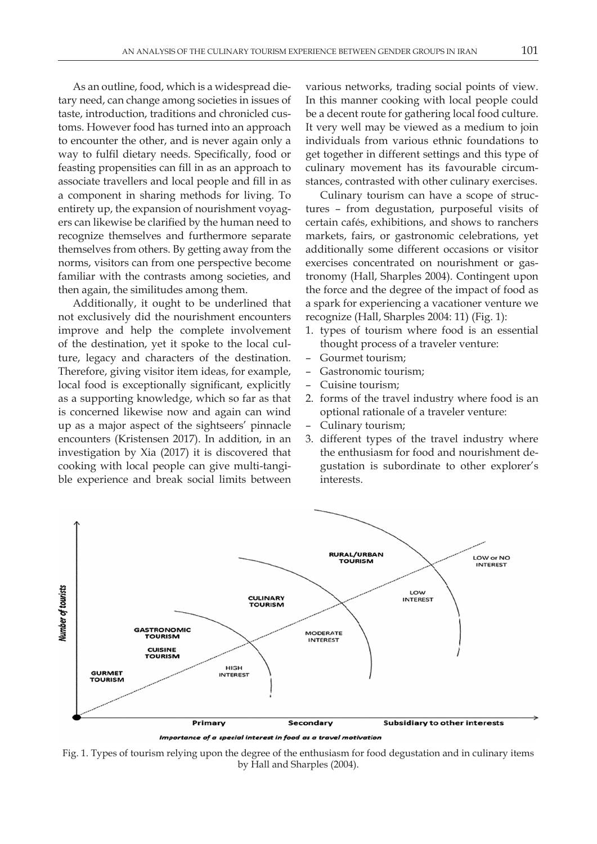As an outline, food, which is a widespread dietary need, can change among societies in issues of taste, introduction, traditions and chronicled customs. However food has turned into an approach to encounter the other, and is never again only a way to fulfil dietary needs. Specifically, food or feasting propensities can fill in as an approach to associate travellers and local people and fill in as a component in sharing methods for living. To entirety up, the expansion of nourishment voyagers can likewise be clarified by the human need to recognize themselves and furthermore separate themselves from others. By getting away from the norms, visitors can from one perspective become familiar with the contrasts among societies, and then again, the similitudes among them.

Additionally, it ought to be underlined that not exclusively did the nourishment encounters improve and help the complete involvement of the destination, yet it spoke to the local culture, legacy and characters of the destination. Therefore, giving visitor item ideas, for example, local food is exceptionally significant, explicitly as a supporting knowledge, which so far as that is concerned likewise now and again can wind up as a major aspect of the sightseers' pinnacle encounters (Kristensen 2017). In addition, in an investigation by Xia (2017) it is discovered that cooking with local people can give multi-tangible experience and break social limits between

various networks, trading social points of view. In this manner cooking with local people could be a decent route for gathering local food culture. It very well may be viewed as a medium to join individuals from various ethnic foundations to get together in different settings and this type of culinary movement has its favourable circumstances, contrasted with other culinary exercises.

Culinary tourism can have a scope of structures – from degustation, purposeful visits of certain cafés, exhibitions, and shows to ranchers markets, fairs, or gastronomic celebrations, yet additionally some different occasions or visitor exercises concentrated on nourishment or gastronomy (Hall, Sharples 2004). Contingent upon the force and the degree of the impact of food as a spark for experiencing a vacationer venture we recognize (Hall, Sharples 2004: 11) (Fig. 1):

- 1. types of tourism where food is an essential thought process of a traveler venture:
- Gourmet tourism;
- Gastronomic tourism;
- Cuisine tourism;
- 2. forms of the travel industry where food is an optional rationale of a traveler venture:
- Culinary tourism;
- 3. different types of the travel industry where the enthusiasm for food and nourishment degustation is subordinate to other explorer's interests.



Importance of a special interest in food as a travel motivation

Fig. 1. Types of tourism relying upon the degree of the enthusiasm for food degustation and in culinary items by Hall and Sharples (2004).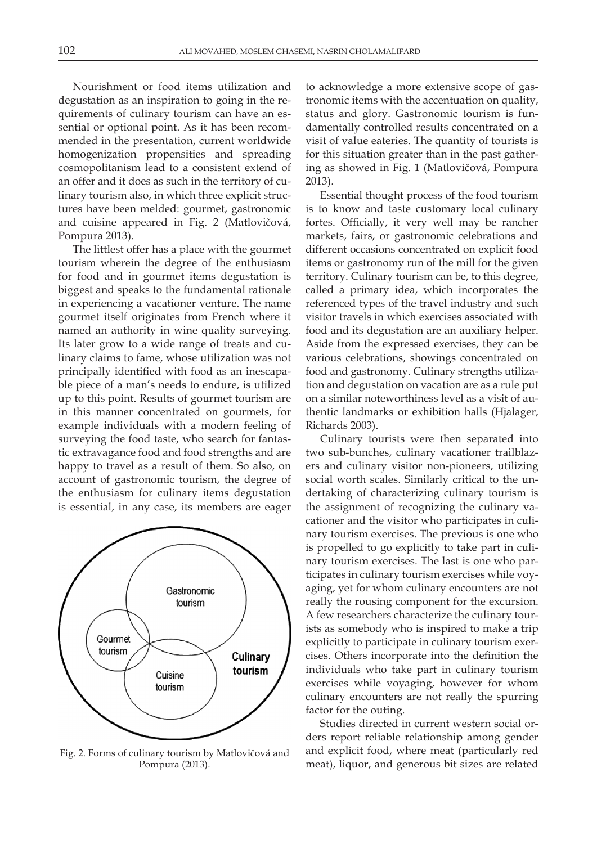Nourishment or food items utilization and degustation as an inspiration to going in the requirements of culinary tourism can have an essential or optional point. As it has been recommended in the presentation, current worldwide homogenization propensities and spreading cosmopolitanism lead to a consistent extend of an offer and it does as such in the territory of culinary tourism also, in which three explicit structures have been melded: gourmet, gastronomic and cuisine appeared in Fig. 2 (Matlovičová, Pompura 2013).

The littlest offer has a place with the gourmet tourism wherein the degree of the enthusiasm for food and in gourmet items degustation is biggest and speaks to the fundamental rationale in experiencing a vacationer venture. The name gourmet itself originates from French where it named an authority in wine quality surveying. Its later grow to a wide range of treats and culinary claims to fame, whose utilization was not principally identified with food as an inescapable piece of a man's needs to endure, is utilized up to this point. Results of gourmet tourism are in this manner concentrated on gourmets, for example individuals with a modern feeling of surveying the food taste, who search for fantastic extravagance food and food strengths and are happy to travel as a result of them. So also, on account of gastronomic tourism, the degree of the enthusiasm for culinary items degustation is essential, in any case, its members are eager



Fig. 2. Forms of culinary tourism by Matlovičová and Pompura (2013).

to acknowledge a more extensive scope of gastronomic items with the accentuation on quality, status and glory. Gastronomic tourism is fundamentally controlled results concentrated on a visit of value eateries. The quantity of tourists is for this situation greater than in the past gathering as showed in Fig. 1 (Matlovičová, Pompura 2013).

Essential thought process of the food tourism is to know and taste customary local culinary fortes. Officially, it very well may be rancher markets, fairs, or gastronomic celebrations and different occasions concentrated on explicit food items or gastronomy run of the mill for the given territory. Culinary tourism can be, to this degree, called a primary idea, which incorporates the referenced types of the travel industry and such visitor travels in which exercises associated with food and its degustation are an auxiliary helper. Aside from the expressed exercises, they can be various celebrations, showings concentrated on food and gastronomy. Culinary strengths utilization and degustation on vacation are as a rule put on a similar noteworthiness level as a visit of authentic landmarks or exhibition halls (Hjalager, Richards 2003).

Culinary tourists were then separated into two sub-bunches, culinary vacationer trailblazers and culinary visitor non-pioneers, utilizing social worth scales. Similarly critical to the undertaking of characterizing culinary tourism is the assignment of recognizing the culinary vacationer and the visitor who participates in culinary tourism exercises. The previous is one who is propelled to go explicitly to take part in culinary tourism exercises. The last is one who participates in culinary tourism exercises while voyaging, yet for whom culinary encounters are not really the rousing component for the excursion. A few researchers characterize the culinary tourists as somebody who is inspired to make a trip explicitly to participate in culinary tourism exercises. Others incorporate into the definition the individuals who take part in culinary tourism exercises while voyaging, however for whom culinary encounters are not really the spurring factor for the outing.

Studies directed in current western social orders report reliable relationship among gender and explicit food, where meat (particularly red meat), liquor, and generous bit sizes are related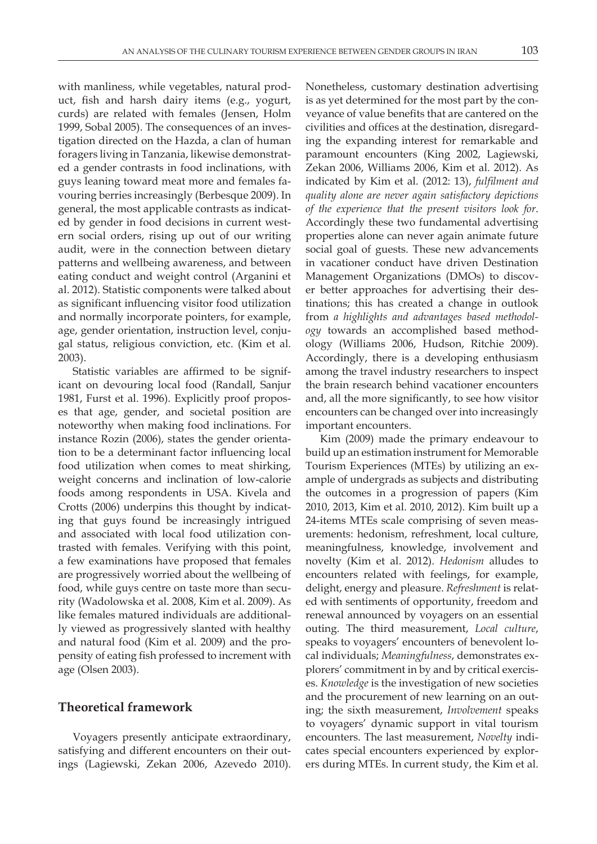with manliness, while vegetables, natural product, fish and harsh dairy items (e.g., yogurt, curds) are related with females (Jensen, Holm 1999, Sobal 2005). The consequences of an investigation directed on the Hazda, a clan of human foragers living in Tanzania, likewise demonstrated a gender contrasts in food inclinations, with guys leaning toward meat more and females favouring berries increasingly (Berbesque 2009). In general, the most applicable contrasts as indicated by gender in food decisions in current western social orders, rising up out of our writing audit, were in the connection between dietary patterns and wellbeing awareness, and between eating conduct and weight control (Arganini et al. 2012). Statistic components were talked about as significant influencing visitor food utilization and normally incorporate pointers, for example, age, gender orientation, instruction level, conjugal status, religious conviction, etc. (Kim et al. 2003).

Statistic variables are affirmed to be significant on devouring local food (Randall, Sanjur 1981, Furst et al. 1996). Explicitly proof proposes that age, gender, and societal position are noteworthy when making food inclinations. For instance Rozin (2006), states the gender orientation to be a determinant factor influencing local food utilization when comes to meat shirking, weight concerns and inclination of low-calorie foods among respondents in USA. Kivela and Crotts (2006) underpins this thought by indicating that guys found be increasingly intrigued and associated with local food utilization contrasted with females. Verifying with this point, a few examinations have proposed that females are progressively worried about the wellbeing of food, while guys centre on taste more than security (Wadolowska et al. 2008, Kim et al. 2009). As like females matured individuals are additionally viewed as progressively slanted with healthy and natural food (Kim et al. 2009) and the propensity of eating fish professed to increment with age (Olsen 2003).

## **Theoretical framework**

Voyagers presently anticipate extraordinary, satisfying and different encounters on their outings (Lagiewski, Zekan 2006, Azevedo 2010).

Nonetheless, customary destination advertising is as yet determined for the most part by the conveyance of value benefits that are cantered on the civilities and offices at the destination, disregarding the expanding interest for remarkable and paramount encounters (King 2002, Lagiewski, Zekan 2006, Williams 2006, Kim et al. 2012). As indicated by Kim et al. (2012: 13), *fulfilment and quality alone are never again satisfactory depictions of the experience that the present visitors look for*. Accordingly these two fundamental advertising properties alone can never again animate future social goal of guests. These new advancements in vacationer conduct have driven Destination Management Organizations (DMOs) to discover better approaches for advertising their destinations; this has created a change in outlook from *a highlights and advantages based methodology* towards an accomplished based methodology (Williams 2006, Hudson, Ritchie 2009). Accordingly, there is a developing enthusiasm among the travel industry researchers to inspect the brain research behind vacationer encounters and, all the more significantly, to see how visitor encounters can be changed over into increasingly important encounters.

Kim (2009) made the primary endeavour to build up an estimation instrument for Memorable Tourism Experiences (MTEs) by utilizing an example of undergrads as subjects and distributing the outcomes in a progression of papers (Kim 2010, 2013, Kim et al. 2010, 2012). Kim built up a 24-items MTEs scale comprising of seven measurements: hedonism, refreshment, local culture, meaningfulness, knowledge, involvement and novelty (Kim et al. 2012). *Hedonism* alludes to encounters related with feelings, for example, delight, energy and pleasure. *Refreshment* is related with sentiments of opportunity, freedom and renewal announced by voyagers on an essential outing. The third measurement, *Local culture*, speaks to voyagers' encounters of benevolent local individuals; *Meaningfulness*, demonstrates explorers' commitment in by and by critical exercises. *Knowledge* is the investigation of new societies and the procurement of new learning on an outing; the sixth measurement, *Involvement* speaks to voyagers' dynamic support in vital tourism encounters. The last measurement, *Novelty* indicates special encounters experienced by explorers during MTEs. In current study, the Kim et al.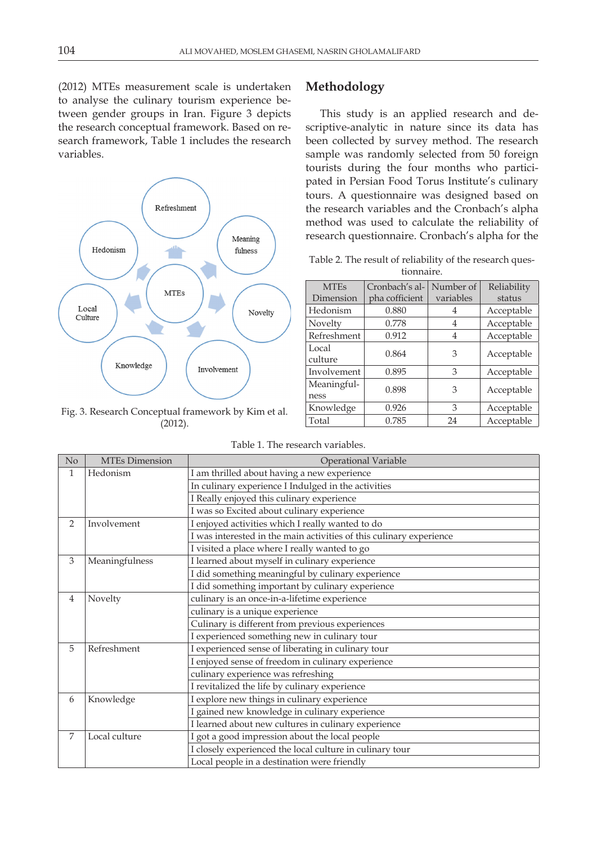(2012) MTEs measurement scale is undertaken to analyse the culinary tourism experience between gender groups in Iran. Figure 3 depicts the research conceptual framework. Based on research framework, Table 1 includes the research variables.



Fig. 3. Research Conceptual framework by Kim et al. (2012).

## **Methodology**

This study is an applied research and descriptive-analytic in nature since its data has been collected by survey method. The research sample was randomly selected from 50 foreign tourists during the four months who participated in Persian Food Torus Institute's culinary tours. A questionnaire was designed based on the research variables and the Cronbach's alpha method was used to calculate the reliability of research questionnaire. Cronbach's alpha for the

Table 2. The result of reliability of the research questionnaire.

| <b>MTEs</b>         | Cronbach's al- | Number of       | Reliability |  |
|---------------------|----------------|-----------------|-------------|--|
| Dimension           | pha cofficient | variables       | status      |  |
| Hedonism            | 0.880          | 4               | Acceptable  |  |
| Novelty             | 0.778          | 4               | Acceptable  |  |
| Refreshment         | 0.912          | 4               | Acceptable  |  |
| Local<br>culture    | 0.864          |                 | Acceptable  |  |
| Involvement         | 0.895          | 3               | Acceptable  |  |
| Meaningful-<br>ness | 0.898          | Acceptable<br>3 |             |  |
| Knowledge           | 0.926          | 3               | Acceptable  |  |
| 0.785<br>Total      |                | 24              | Acceptable  |  |

Table 1. The research variables.

| No                                          | <b>MTEs Dimension</b>                                    | <b>Operational Variable</b>                                         |  |  |  |  |  |
|---------------------------------------------|----------------------------------------------------------|---------------------------------------------------------------------|--|--|--|--|--|
| 1                                           | Hedonism                                                 | I am thrilled about having a new experience                         |  |  |  |  |  |
|                                             |                                                          | In culinary experience I Indulged in the activities                 |  |  |  |  |  |
|                                             |                                                          | I Really enjoyed this culinary experience                           |  |  |  |  |  |
|                                             |                                                          | I was so Excited about culinary experience                          |  |  |  |  |  |
| $\overline{2}$                              | Involvement                                              | I enjoyed activities which I really wanted to do                    |  |  |  |  |  |
|                                             |                                                          | I was interested in the main activities of this culinary experience |  |  |  |  |  |
|                                             |                                                          | I visited a place where I really wanted to go                       |  |  |  |  |  |
| 3                                           | Meaningfulness                                           | I learned about myself in culinary experience                       |  |  |  |  |  |
|                                             |                                                          | I did something meaningful by culinary experience                   |  |  |  |  |  |
|                                             |                                                          | I did something important by culinary experience                    |  |  |  |  |  |
| 4                                           | Novelty                                                  | culinary is an once-in-a-lifetime experience                        |  |  |  |  |  |
|                                             |                                                          | culinary is a unique experience                                     |  |  |  |  |  |
|                                             |                                                          | Culinary is different from previous experiences                     |  |  |  |  |  |
|                                             |                                                          | I experienced something new in culinary tour                        |  |  |  |  |  |
| 5                                           | Refreshment                                              | I experienced sense of liberating in culinary tour                  |  |  |  |  |  |
|                                             |                                                          | I enjoyed sense of freedom in culinary experience                   |  |  |  |  |  |
|                                             |                                                          | culinary experience was refreshing                                  |  |  |  |  |  |
|                                             |                                                          | I revitalized the life by culinary experience                       |  |  |  |  |  |
| 6                                           | Knowledge                                                | I explore new things in culinary experience                         |  |  |  |  |  |
|                                             |                                                          | I gained new knowledge in culinary experience                       |  |  |  |  |  |
|                                             |                                                          | I learned about new cultures in culinary experience                 |  |  |  |  |  |
| 7<br>Local culture                          |                                                          | I got a good impression about the local people                      |  |  |  |  |  |
|                                             | I closely experienced the local culture in culinary tour |                                                                     |  |  |  |  |  |
| Local people in a destination were friendly |                                                          |                                                                     |  |  |  |  |  |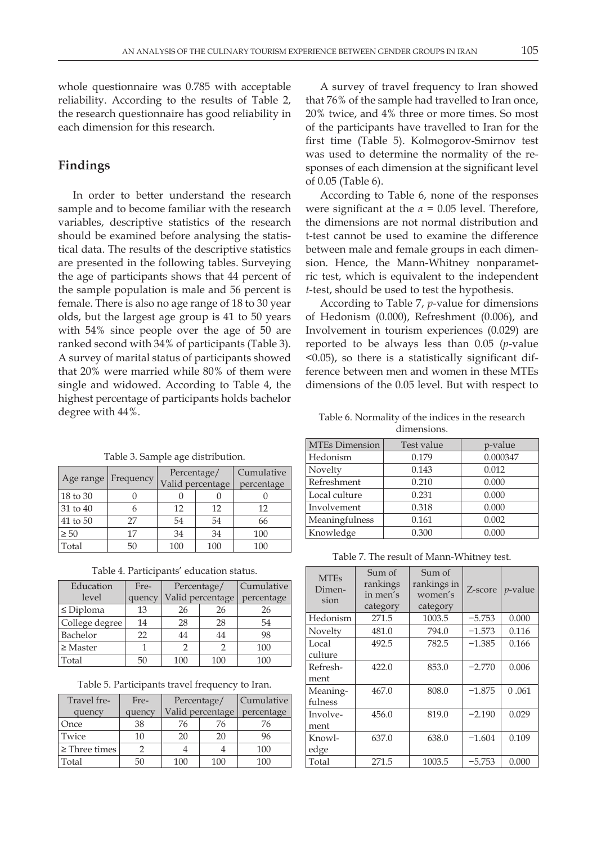whole questionnaire was 0.785 with acceptable reliability. According to the results of Table 2, the research questionnaire has good reliability in each dimension for this research.

## **Findings**

In order to better understand the research sample and to become familiar with the research variables, descriptive statistics of the research should be examined before analysing the statistical data. The results of the descriptive statistics are presented in the following tables. Surveying the age of participants shows that 44 percent of the sample population is male and 56 percent is female. There is also no age range of 18 to 30 year olds, but the largest age group is 41 to 50 years with 54% since people over the age of 50 are ranked second with 34% of participants (Table 3). A survey of marital status of participants showed that 20% were married while 80% of them were single and widowed. According to Table 4, the highest percentage of participants holds bachelor degree with 44%.

A survey of travel frequency to Iran showed that 76% of the sample had travelled to Iran once, 20% twice, and 4% three or more times. So most of the participants have travelled to Iran for the first time (Table 5). Kolmogorov-Smirnov test was used to determine the normality of the responses of each dimension at the significant level of 0.05 (Table 6).

According to Table 6, none of the responses were significant at the *α* = 0.05 level. Therefore, the dimensions are not normal distribution and t-test cannot be used to examine the difference between male and female groups in each dimension. Hence, the Mann-Whitney nonparametric test, which is equivalent to the independent *t*-test, should be used to test the hypothesis.

According to Table 7, *p*-value for dimensions of Hedonism (0.000), Refreshment (0.006), and Involvement in tourism experiences (0.029) are reported to be always less than 0.05 (*p*-value <0.05), so there is a statistically significant difference between men and women in these MTEs dimensions of the 0.05 level. But with respect to

| Age range | Frequency | Percentage/<br>Valid percentage |     | Cumulative<br>percentage |
|-----------|-----------|---------------------------------|-----|--------------------------|
| 18 to 30  |           |                                 |     |                          |
| 31 to 40  |           | 12                              | 12  | 12                       |
| 41 to 50  | 27        | 54                              | 54  | 66                       |
| $\geq 50$ | 17        | 34                              | 34  | 100                      |
| Total     | 50        | 100                             | 100 | 100                      |

Table 3. Sample age distribution.

Table 4. Participants' education status.

| Education      | Fre-   | Percentage/      |     | Cumulative |  |            |
|----------------|--------|------------------|-----|------------|--|------------|
| level          | quency | Valid percentage |     |            |  | percentage |
| $\leq$ Diploma | 13     | 26               | 26  | 26         |  |            |
| College degree | 14     | 28               | 28  | 54         |  |            |
| Bachelor       | 22     | 44               | 44  | 98         |  |            |
| $\geq$ Master  |        | っ                | ာ   | 100        |  |            |
| Total          |        | 100              | 100 | 100        |  |            |

Table 5. Participants travel frequency to Iran.

| Travel fre-        | Fre-   | Percentage/      |     | <b>Cumulative</b> |
|--------------------|--------|------------------|-----|-------------------|
| quency             | quency | Valid percentage |     | percentage        |
| Once               | 38     | 76               | 76  | 76                |
| Twice              | 10     | 20               | 20  | 96                |
| $\geq$ Three times |        |                  |     | 100               |
| Total              | 50     | 100              | 100 | 100               |

Table 6. Normality of the indices in the research dimensions.

| <b>MTEs Dimension</b> | Test value | p-value  |  |
|-----------------------|------------|----------|--|
| Hedonism              | 0.179      | 0.000347 |  |
| Novelty               | 0.143      | 0.012    |  |
| Refreshment           | 0.210      | 0.000    |  |
| Local culture         | 0.231      | 0.000    |  |
| Involvement           | 0.318      | 0.000    |  |
| Meaningfulness        | 0.161      | 0.002    |  |
| Knowledge             | 0.300      | 0.000    |  |

Table 7. The result of Mann-Whitney test.

| <b>MTEs</b><br>Dimen-<br>sion | Sum of<br>rankings<br>in men's<br>category | Sum of<br>rankings in<br>women's<br>category | Z-score  | $p$ -value |
|-------------------------------|--------------------------------------------|----------------------------------------------|----------|------------|
| Hedonism                      | 271.5                                      | 1003.5                                       | $-5.753$ | 0.000      |
| Novelty                       | 481.0                                      | 794.0                                        | $-1.573$ | 0.116      |
| Local<br>culture              | 492.5                                      | 782.5                                        | $-1.385$ | 0.166      |
| Refresh-<br>ment              | 422.0                                      | 853.0                                        | $-2.770$ | 0.006      |
| Meaning-<br>fulness           | 467.0                                      | 808.0                                        | $-1.875$ | 0.061      |
| Involve-<br>ment              | 456.0                                      | 819.0                                        | $-2.190$ | 0.029      |
| Knowl-<br>edge                | 637.0                                      | 638.0                                        | $-1.604$ | 0.109      |
| Total                         | 271.5                                      | 1003.5                                       | $-5.753$ | 0.000      |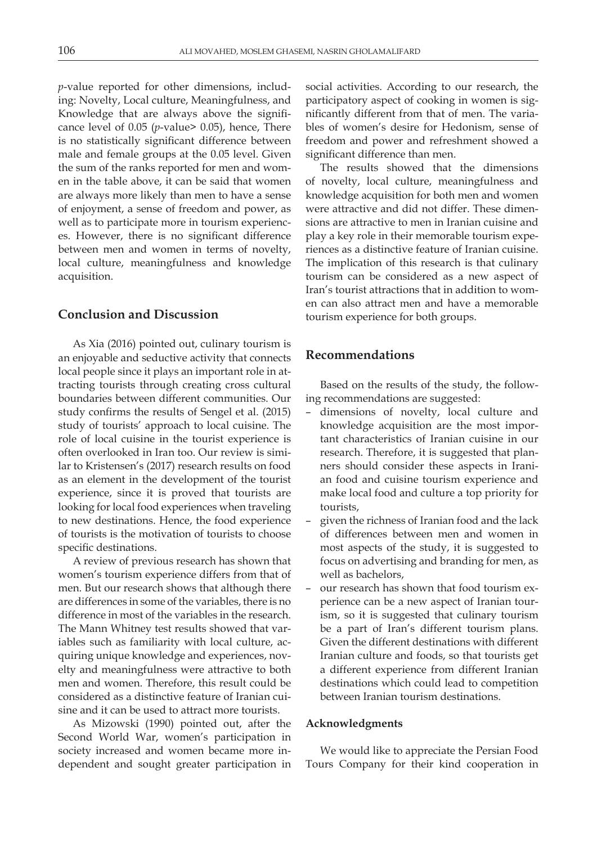*p*-value reported for other dimensions, including: Novelty, Local culture, Meaningfulness, and Knowledge that are always above the significance level of 0.05 (*p*-value> 0.05), hence, There is no statistically significant difference between male and female groups at the 0.05 level. Given the sum of the ranks reported for men and women in the table above, it can be said that women are always more likely than men to have a sense of enjoyment, a sense of freedom and power, as well as to participate more in tourism experiences. However, there is no significant difference between men and women in terms of novelty, local culture, meaningfulness and knowledge acquisition.

## **Conclusion and Discussion**

As Xia (2016) pointed out, culinary tourism is an enjoyable and seductive activity that connects local people since it plays an important role in attracting tourists through creating cross cultural boundaries between different communities. Our study confirms the results of Sengel et al. (2015) study of tourists' approach to local cuisine. The role of local cuisine in the tourist experience is often overlooked in Iran too. Our review is similar to Kristensen's (2017) research results on food as an element in the development of the tourist experience, since it is proved that tourists are looking for local food experiences when traveling to new destinations. Hence, the food experience of tourists is the motivation of tourists to choose specific destinations.

A review of previous research has shown that women's tourism experience differs from that of men. But our research shows that although there are differences in some of the variables, there is no difference in most of the variables in the research. The Mann Whitney test results showed that variables such as familiarity with local culture, acquiring unique knowledge and experiences, novelty and meaningfulness were attractive to both men and women. Therefore, this result could be considered as a distinctive feature of Iranian cuisine and it can be used to attract more tourists.

As Mizowski (1990) pointed out, after the Second World War, women's participation in society increased and women became more independent and sought greater participation in

social activities. According to our research, the participatory aspect of cooking in women is significantly different from that of men. The variables of women's desire for Hedonism, sense of freedom and power and refreshment showed a significant difference than men.

The results showed that the dimensions of novelty, local culture, meaningfulness and knowledge acquisition for both men and women were attractive and did not differ. These dimensions are attractive to men in Iranian cuisine and play a key role in their memorable tourism experiences as a distinctive feature of Iranian cuisine. The implication of this research is that culinary tourism can be considered as a new aspect of Iran's tourist attractions that in addition to women can also attract men and have a memorable tourism experience for both groups.

#### **Recommendations**

Based on the results of the study, the following recommendations are suggested:

- dimensions of novelty, local culture and knowledge acquisition are the most important characteristics of Iranian cuisine in our research. Therefore, it is suggested that planners should consider these aspects in Iranian food and cuisine tourism experience and make local food and culture a top priority for tourists,
- given the richness of Iranian food and the lack of differences between men and women in most aspects of the study, it is suggested to focus on advertising and branding for men, as well as bachelors,
- our research has shown that food tourism experience can be a new aspect of Iranian tourism, so it is suggested that culinary tourism be a part of Iran's different tourism plans. Given the different destinations with different Iranian culture and foods, so that tourists get a different experience from different Iranian destinations which could lead to competition between Iranian tourism destinations.

#### **Acknowledgments**

We would like to appreciate the Persian Food Tours Company for their kind cooperation in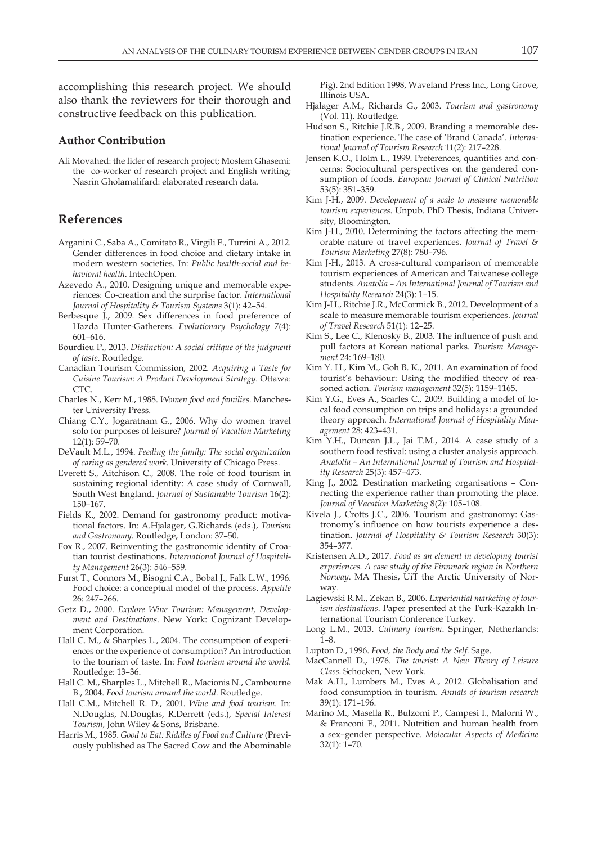accomplishing this research project. We should also thank the reviewers for their thorough and constructive feedback on this publication.

#### **Author Contribution**

Ali Movahed: the lider of research project; Moslem Ghasemi: the co-worker of research project and English writing; Nasrin Gholamalifard: elaborated research data.

# **References**

- Arganini C., Saba A., Comitato R., Virgili F., Turrini A., 2012. Gender differences in food choice and dietary intake in modern western societies. In: *Public health-social and behavioral health*. IntechOpen.
- Azevedo A., 2010. Designing unique and memorable experiences: Co-creation and the surprise factor. *International Journal of Hospitality & Tourism Systems* 3(1): 42–54.
- Berbesque J., 2009. Sex differences in food preference of Hazda Hunter-Gatherers. *Evolutionary Psychology* 7(4): 601–616.
- Bourdieu P., 2013. *Distinction: A social critique of the judgment of taste*. Routledge.
- Canadian Tourism Commission, 2002. *Acquiring a Taste for Cuisine Tourism: A Product Development Strategy*. Ottawa: CTC.
- Charles N., Kerr M., 1988. *Women food and families*. Manchester University Press.
- Chiang C.Y., Jogaratnam G., 2006. Why do women travel solo for purposes of leisure? *Journal of Vacation Marketing* 12(1): 59–70.
- DeVault M.L., 1994. *Feeding the family: The social organization of caring as gendered work*. University of Chicago Press.
- Everett S., Aitchison C., 2008. The role of food tourism in sustaining regional identity: A case study of Cornwall, South West England. *Journal of Sustainable Tourism* 16(2): 150–167.
- Fields K., 2002. Demand for gastronomy product: motivational factors. In: A.Hjalager, G.Richards (eds.), *Tourism and Gastronomy*. Routledge, London: 37–50.
- Fox R., 2007. Reinventing the gastronomic identity of Croatian tourist destinations. *International Journal of Hospitality Management* 26(3): 546–559.
- Furst T., Connors M., Bisogni C.A., Bobal J., Falk L.W., 1996. Food choice: a conceptual model of the process. *Appetite* 26: 247–266.
- Getz D., 2000. *Explore Wine Tourism: Management, Development and Destinations*. New York: Cognizant Development Corporation.
- Hall C. M., & Sharples L., 2004. The consumption of experiences or the experience of consumption? An introduction to the tourism of taste. In: *Food tourism around the world*. Routledge: 13–36.
- Hall C. M., Sharples L., Mitchell R., Macionis N., Cambourne B., 2004. *Food tourism around the world*. Routledge.
- Hall C.M., Mitchell R. D., 2001. *Wine and food tourism*. In: N.Douglas, N.Douglas, R.Derrett (eds.), *Special Interest Tourism*, John Wiley & Sons, Brisbane.
- Harris M., 1985. *Good to Eat: Riddles of Food and Culture* (Previously published as The Sacred Cow and the Abominable

Pig). 2nd Edition 1998, Waveland Press Inc., Long Grove, Illinois USA.

- Hjalager A.M., Richards G., 2003. *Tourism and gastronomy* (Vol. 11). Routledge.
- Hudson S., Ritchie J.R.B., 2009. Branding a memorable destination experience. The case of 'Brand Canada'. *International Journal of Tourism Research* 11(2): 217–228.
- Jensen K.O., Holm L., 1999. Preferences, quantities and concerns: Sociocultural perspectives on the gendered consumption of foods. *European Journal of Clinical Nutrition* 53(5): 351–359.
- Kim J-H., 2009. *Development of a scale to measure memorable tourism experiences*. Unpub. PhD Thesis, Indiana University, Bloomington.
- Kim J-H., 2010. Determining the factors affecting the memorable nature of travel experiences. *Journal of Travel & Tourism Marketing* 27(8): 780–796.
- Kim J-H., 2013. A cross-cultural comparison of memorable tourism experiences of American and Taiwanese college students. *Anatolia – An International Journal of Tourism and Hospitality Research* 24(3): 1–15.
- Kim J-H., Ritchie J.R., McCormick B., 2012. Development of a scale to measure memorable tourism experiences. *Journal of Travel Research* 51(1): 12–25.
- Kim S., Lee C., Klenosky B., 2003. The influence of push and pull factors at Korean national parks. *Tourism Management* 24: 169–180.
- Kim Y. H., Kim M., Goh B. K., 2011. An examination of food tourist's behaviour: Using the modified theory of reasoned action. *Tourism management* 32(5): 1159–1165.
- Kim Y.G., Eves A., Scarles C., 2009. Building a model of local food consumption on trips and holidays: a grounded theory approach. *International Journal of Hospitality Management* 28: 423–431.
- Kim Y.H., Duncan J.L., Jai T.M., 2014. A case study of a southern food festival: using a cluster analysis approach. *Anatolia – An International Journal of Tourism and Hospitality Research* 25(3): 457–473.
- King J., 2002. Destination marketing organisations Connecting the experience rather than promoting the place. *Journal of Vacation Marketing* 8(2): 105–108.
- Kivela J., Crotts J.C., 2006. Tourism and gastronomy: Gastronomy's influence on how tourists experience a destination. *Journal of Hospitality & Tourism Research* 30(3): 354–377.
- Kristensen A.D., 2017. *Food as an element in developing tourist experiences. A case study of the Finnmark region in Northern Norway*. MA Thesis, UiT the Arctic University of Norway.
- Lagiewski R.M., Zekan B., 2006. *Experiential marketing of tourism destinations*. Paper presented at the Turk-Kazakh International Tourism Conference Turkey.
- Long L.M., 2013. *Culinary tourism*. Springer, Netherlands: 1–8.
- Lupton D., 1996. *Food, the Body and the Self*. Sage.
- MacCannell D., 1976. *The tourist: A New Theory of Leisure Class*. Schocken, New York.
- Mak A.H., Lumbers M., Eves A., 2012. Globalisation and food consumption in tourism. *Annals of tourism research* 39(1): 171–196.
- Marino M., Masella R., Bulzomi P., Campesi I., Malorni W., & Franconi F., 2011. Nutrition and human health from a sex–gender perspective. *Molecular Aspects of Medicine* 32(1): 1–70.